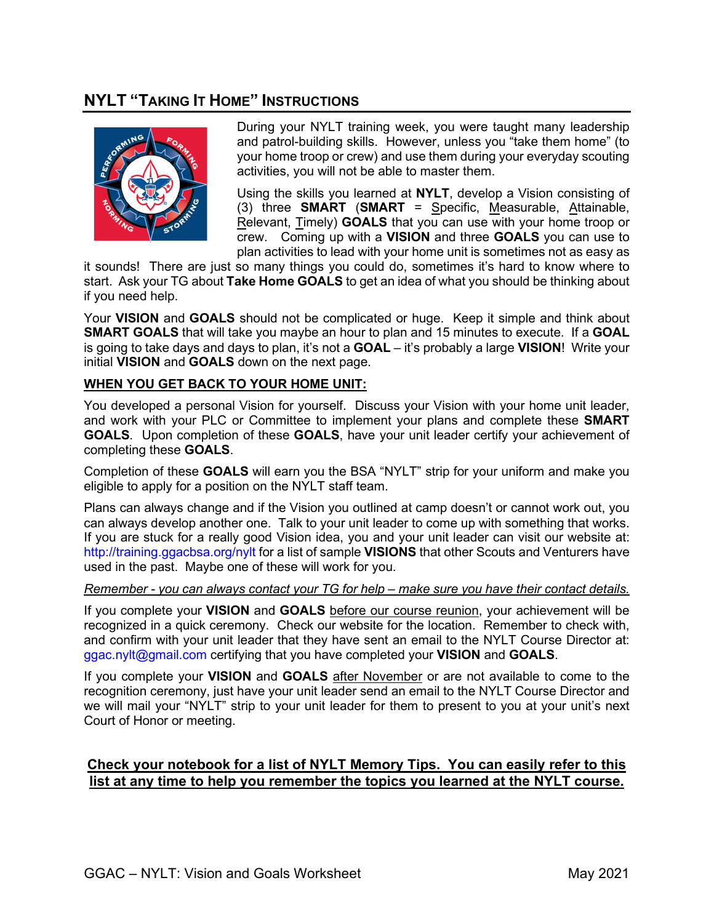## **NYLT "TAKING IT HOME" INSTRUCTIONS**



During your NYLT training week, you were taught many leadership and patrol-building skills. However, unless you "take them home" (to your home troop or crew) and use them during your everyday scouting activities, you will not be able to master them.

Using the skills you learned at **NYLT**, develop a Vision consisting of (3) three **SMART** (**SMART** = Specific, Measurable, Attainable, Relevant, Timely) **GOALS** that you can use with your home troop or crew. Coming up with a **VISION** and three **GOALS** you can use to plan activities to lead with your home unit is sometimes not as easy as

it sounds! There are just so many things you could do, sometimes it's hard to know where to start. Ask your TG about **Take Home GOALS** to get an idea of what you should be thinking about if you need help.

Your **VISION** and **GOALS** should not be complicated or huge. Keep it simple and think about **SMART GOALS** that will take you maybe an hour to plan and 15 minutes to execute. If a **GOAL** is going to take days and days to plan, it's not a **GOAL** – it's probably a large **VISION**! Write your initial **VISION** and **GOALS** down on the next page.

## **WHEN YOU GET BACK TO YOUR HOME UNIT:**

You developed a personal Vision for yourself. Discuss your Vision with your home unit leader, and work with your PLC or Committee to implement your plans and complete these **SMART GOALS**. Upon completion of these **GOALS**, have your unit leader certify your achievement of completing these **GOALS**.

Completion of these **GOALS** will earn you the BSA "NYLT" strip for your uniform and make you eligible to apply for a position on the NYLT staff team.

Plans can always change and if the Vision you outlined at camp doesn't or cannot work out, you can always develop another one. Talk to your unit leader to come up with something that works. If you are stuck for a really good Vision idea, you and your unit leader can visit our website at: <http://training.ggacbsa.org/nylt> for a list of sample **VISIONS** that other Scouts and Venturers have used in the past. Maybe one of these will work for you.

## *Remember - you can always contact your TG for help – make sure you have their contact details.*

If you complete your **VISION** and **GOALS** before our course reunion, your achievement will be recognized in a quick ceremony. Check our website for the location. Remember to check with, and confirm with your unit leader that they have sent an email to the NYLT Course Director at: [ggac.nylt@gmail.com](mailto:ggac.nylt@gmail.com) certifying that you have completed your **VISION** and **GOALS**.

If you complete your **VISION** and **GOALS** after November or are not available to come to the recognition ceremony, just have your unit leader send an email to the NYLT Course Director and we will mail your "NYLT" strip to your unit leader for them to present to you at your unit's next Court of Honor or meeting.

## **Check your notebook for a list of NYLT Memory Tips. You can easily refer to this list at any time to help you remember the topics you learned at the NYLT course.**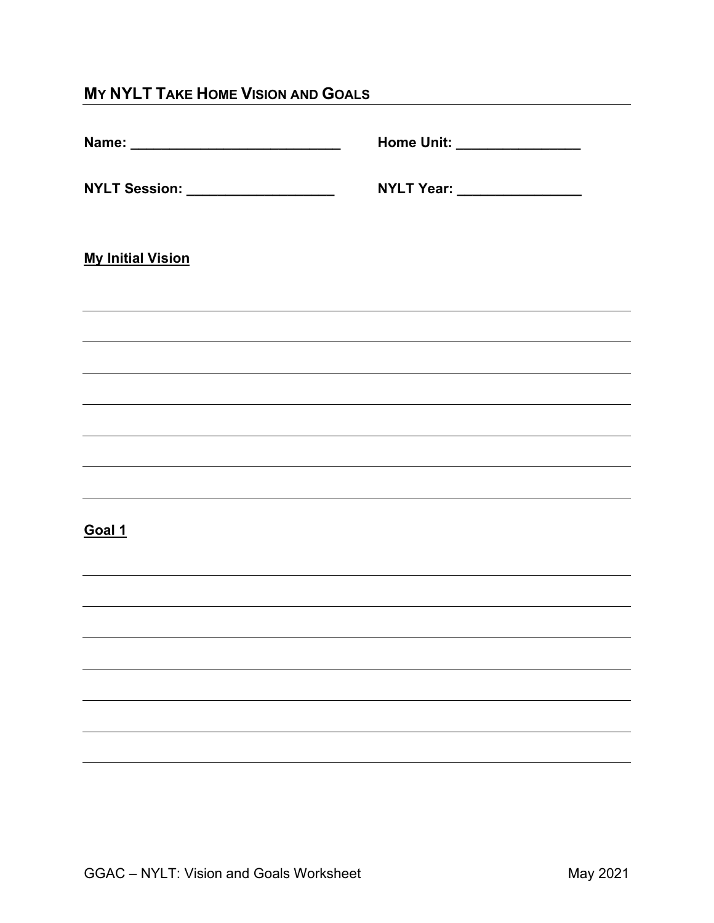| <b>MY NYLT TAKE HOME VISION AND GOALS</b>  |                                                                                                                       |  |
|--------------------------------------------|-----------------------------------------------------------------------------------------------------------------------|--|
|                                            | Home Unit: _________________                                                                                          |  |
| <b>NYLT Session:</b> _____________________ | NYLT Year: _________________                                                                                          |  |
| <b>My Initial Vision</b>                   |                                                                                                                       |  |
|                                            |                                                                                                                       |  |
|                                            | <u> 1989 - Johann Harry Harry Harry Harry Harry Harry Harry Harry Harry Harry Harry Harry Harry Harry Harry Harry</u> |  |
|                                            | ,我们也不会有什么。""我们的人,我们也不会有什么?""我们的人,我们也不会有什么?""我们的人,我们也不会有什么?""我们的人,我们也不会有什么?""我们的人                                      |  |
|                                            |                                                                                                                       |  |
| Goal 1                                     |                                                                                                                       |  |
|                                            |                                                                                                                       |  |
|                                            |                                                                                                                       |  |
|                                            |                                                                                                                       |  |
|                                            |                                                                                                                       |  |